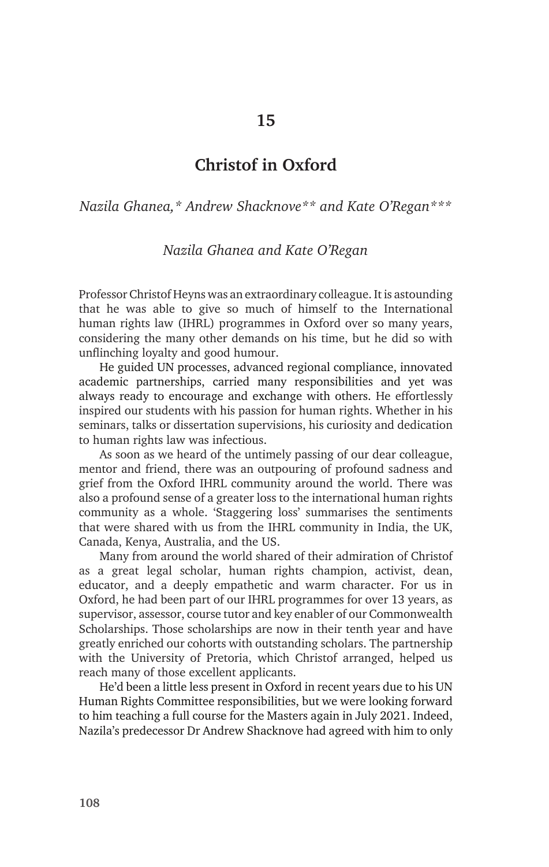## **15**

## **Christof in Oxford**

*Nazila Ghanea,\* Andrew Shacknove\*\* and Kate O'Regan\*\*\**

## *Nazila Ghanea and Kate O'Regan*

Professor Christof Heyns was an extraordinary colleague. It is astounding that he was able to give so much of himself to the International human rights law (IHRL) programmes in Oxford over so many years, considering the many other demands on his time, but he did so with unflinching loyalty and good humour.

He guided UN processes, advanced regional compliance, innovated academic partnerships, carried many responsibilities and yet was always ready to encourage and exchange with others. He effortlessly inspired our students with his passion for human rights. Whether in his seminars, talks or dissertation supervisions, his curiosity and dedication to human rights law was infectious.

As soon as we heard of the untimely passing of our dear colleague, mentor and friend, there was an outpouring of profound sadness and grief from the Oxford IHRL community around the world. There was also a profound sense of a greater loss to the international human rights community as a whole. 'Staggering loss' summarises the sentiments that were shared with us from the IHRL community in India, the UK, Canada, Kenya, Australia, and the US.

Many from around the world shared of their admiration of Christof as a great legal scholar, human rights champion, activist, dean, educator, and a deeply empathetic and warm character. For us in Oxford, he had been part of our IHRL programmes for over 13 years, as supervisor, assessor, course tutor and key enabler of our Commonwealth Scholarships. Those scholarships are now in their tenth year and have greatly enriched our cohorts with outstanding scholars. The partnership with the University of Pretoria, which Christof arranged, helped us reach many of those excellent applicants.

He'd been a little less present in Oxford in recent years due to his UN Human Rights Committee responsibilities, but we were looking forward to him teaching a full course for the Masters again in July 2021. Indeed, Nazila's predecessor Dr Andrew Shacknove had agreed with him to only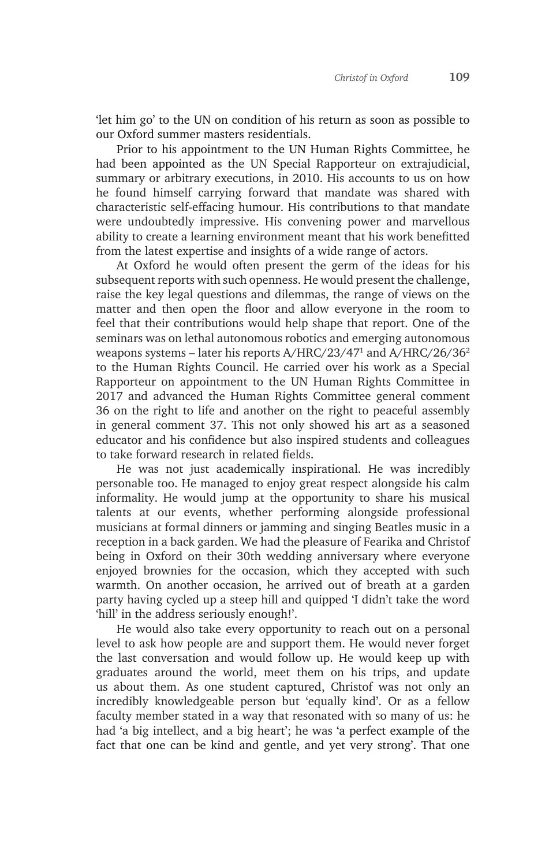'let him go' to the UN on condition of his return as soon as possible to our Oxford summer masters residentials.

Prior to his appointment to the UN Human Rights Committee, he had been appointed as the UN Special Rapporteur on extrajudicial, summary or arbitrary executions, in 2010. His accounts to us on how he found himself carrying forward that mandate was shared with characteristic self-effacing humour. His contributions to that mandate were undoubtedly impressive. His convening power and marvellous ability to create a learning environment meant that his work benefitted from the latest expertise and insights of a wide range of actors.

At Oxford he would often present the germ of the ideas for his subsequent reports with such openness. He would present the challenge, raise the key legal questions and dilemmas, the range of views on the matter and then open the floor and allow everyone in the room to feel that their contributions would help shape that report. One of the seminars was on lethal autonomous robotics and emerging autonomous weapons systems – later his reports A/HRC/23/47<sup>1</sup> and A/HRC/26/36<sup>2</sup> to the Human Rights Council. He carried over his work as a Special Rapporteur on appointment to the UN Human Rights Committee in 2017 and advanced the Human Rights Committee general comment 36 on the right to life and another on the right to peaceful assembly in general comment 37. This not only showed his art as a seasoned educator and his confidence but also inspired students and colleagues to take forward research in related fields.

He was not just academically inspirational. He was incredibly personable too. He managed to enjoy great respect alongside his calm informality. He would jump at the opportunity to share his musical talents at our events, whether performing alongside professional musicians at formal dinners or jamming and singing Beatles music in a reception in a back garden. We had the pleasure of Fearika and Christof being in Oxford on their 30th wedding anniversary where everyone enjoyed brownies for the occasion, which they accepted with such warmth. On another occasion, he arrived out of breath at a garden party having cycled up a steep hill and quipped 'I didn't take the word 'hill' in the address seriously enough!'.

He would also take every opportunity to reach out on a personal level to ask how people are and support them. He would never forget the last conversation and would follow up. He would keep up with graduates around the world, meet them on his trips, and update us about them. As one student captured, Christof was not only an incredibly knowledgeable person but 'equally kind'. Or as a fellow faculty member stated in a way that resonated with so many of us: he had 'a big intellect, and a big heart'; he was 'a perfect example of the fact that one can be kind and gentle, and yet very strong'. That one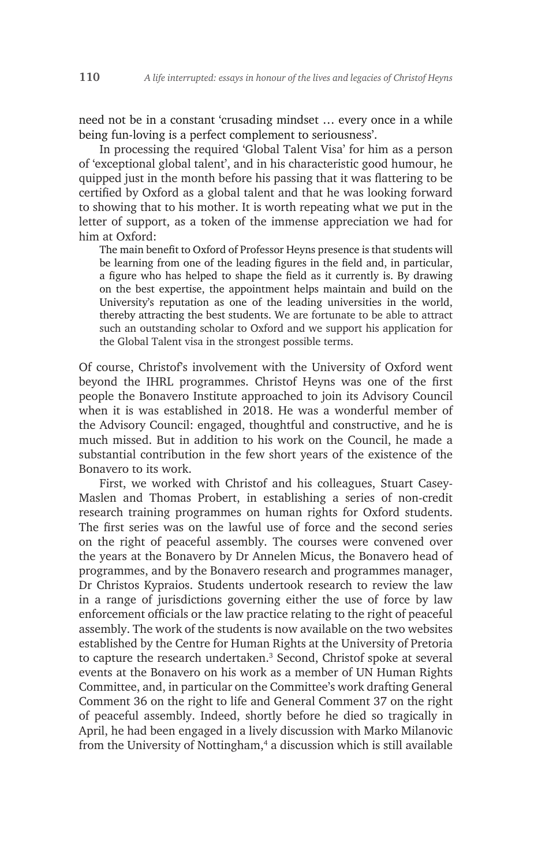need not be in a constant 'crusading mindset … every once in a while being fun-loving is a perfect complement to seriousness'.

In processing the required 'Global Talent Visa' for him as a person of 'exceptional global talent', and in his characteristic good humour, he quipped just in the month before his passing that it was flattering to be certified by Oxford as a global talent and that he was looking forward to showing that to his mother. It is worth repeating what we put in the letter of support, as a token of the immense appreciation we had for him at Oxford:

The main benefit to Oxford of Professor Heyns presence is that students will be learning from one of the leading figures in the field and, in particular, a figure who has helped to shape the field as it currently is. By drawing on the best expertise, the appointment helps maintain and build on the University's reputation as one of the leading universities in the world, thereby attracting the best students. We are fortunate to be able to attract such an outstanding scholar to Oxford and we support his application for the Global Talent visa in the strongest possible terms.

Of course, Christof's involvement with the University of Oxford went beyond the IHRL programmes. Christof Heyns was one of the first people the Bonavero Institute approached to join its Advisory Council when it is was established in 2018. He was a wonderful member of the Advisory Council: engaged, thoughtful and constructive, and he is much missed. But in addition to his work on the Council, he made a substantial contribution in the few short years of the existence of the Bonavero to its work.

First, we worked with Christof and his colleagues, Stuart Casey-Maslen and Thomas Probert, in establishing a series of non-credit research training programmes on human rights for Oxford students. The first series was on the lawful use of force and the second series on the right of peaceful assembly. The courses were convened over the years at the Bonavero by Dr Annelen Micus, the Bonavero head of programmes, and by the Bonavero research and programmes manager, Dr Christos Kypraios. Students undertook research to review the law in a range of jurisdictions governing either the use of force by law enforcement officials or the law practice relating to the right of peaceful assembly. The work of the students is now available on the two websites established by the Centre for Human Rights at the University of Pretoria to capture the research undertaken.<sup>3</sup> Second, Christof spoke at several events at the Bonavero on his work as a member of UN Human Rights Committee, and, in particular on the Committee's work drafting General Comment 36 on the right to life and General Comment 37 on the right of peaceful assembly. Indeed, shortly before he died so tragically in April, he had been engaged in a lively discussion with Marko Milanovic from the University of Nottingham,<sup>4</sup> a discussion which is still available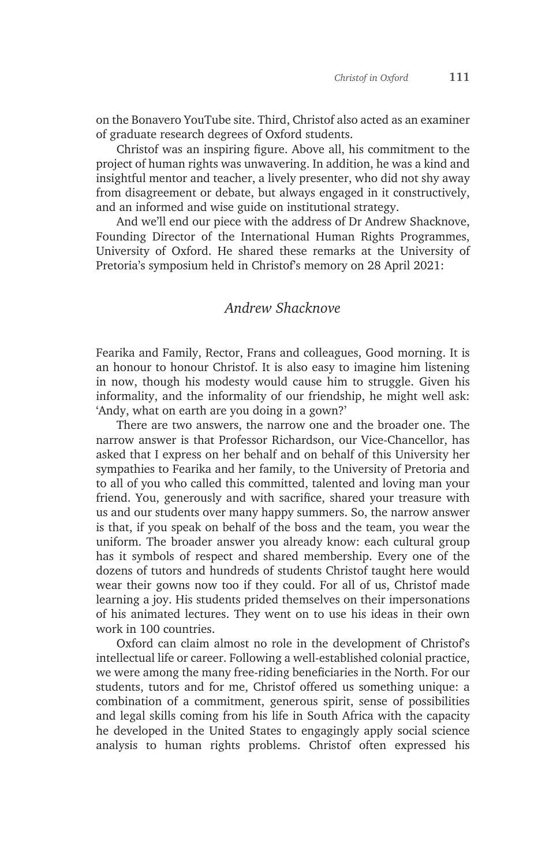on the Bonavero YouTube site. Third, Christof also acted as an examiner of graduate research degrees of Oxford students.

Christof was an inspiring figure. Above all, his commitment to the project of human rights was unwavering. In addition, he was a kind and insightful mentor and teacher, a lively presenter, who did not shy away from disagreement or debate, but always engaged in it constructively, and an informed and wise guide on institutional strategy.

And we'll end our piece with the address of Dr Andrew Shacknove, Founding Director of the International Human Rights Programmes, University of Oxford. He shared these remarks at the University of Pretoria's symposium held in Christof's memory on 28 April 2021:

## *Andrew Shacknove*

Fearika and Family, Rector, Frans and colleagues, Good morning. It is an honour to honour Christof. It is also easy to imagine him listening in now, though his modesty would cause him to struggle. Given his informality, and the informality of our friendship, he might well ask: 'Andy, what on earth are you doing in a gown?'

There are two answers, the narrow one and the broader one. The narrow answer is that Professor Richardson, our Vice-Chancellor, has asked that I express on her behalf and on behalf of this University her sympathies to Fearika and her family, to the University of Pretoria and to all of you who called this committed, talented and loving man your friend. You, generously and with sacrifice, shared your treasure with us and our students over many happy summers. So, the narrow answer is that, if you speak on behalf of the boss and the team, you wear the uniform. The broader answer you already know: each cultural group has it symbols of respect and shared membership. Every one of the dozens of tutors and hundreds of students Christof taught here would wear their gowns now too if they could. For all of us, Christof made learning a joy. His students prided themselves on their impersonations of his animated lectures. They went on to use his ideas in their own work in 100 countries.

Oxford can claim almost no role in the development of Christof's intellectual life or career. Following a well-established colonial practice, we were among the many free-riding beneficiaries in the North. For our students, tutors and for me, Christof offered us something unique: a combination of a commitment, generous spirit, sense of possibilities and legal skills coming from his life in South Africa with the capacity he developed in the United States to engagingly apply social science analysis to human rights problems. Christof often expressed his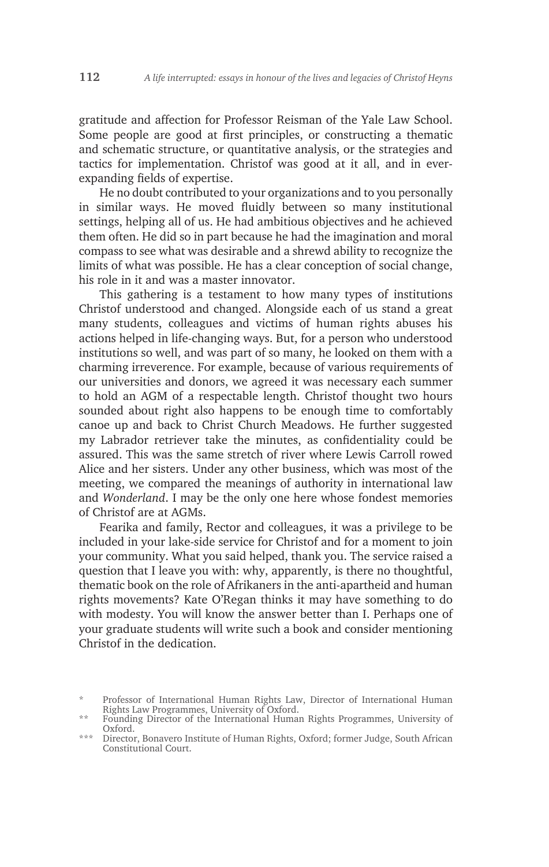gratitude and affection for Professor Reisman of the Yale Law School. Some people are good at first principles, or constructing a thematic and schematic structure, or quantitative analysis, or the strategies and tactics for implementation. Christof was good at it all, and in everexpanding fields of expertise.

He no doubt contributed to your organizations and to you personally in similar ways. He moved fluidly between so many institutional settings, helping all of us. He had ambitious objectives and he achieved them often. He did so in part because he had the imagination and moral compass to see what was desirable and a shrewd ability to recognize the limits of what was possible. He has a clear conception of social change, his role in it and was a master innovator.

This gathering is a testament to how many types of institutions Christof understood and changed. Alongside each of us stand a great many students, colleagues and victims of human rights abuses his actions helped in life-changing ways. But, for a person who understood institutions so well, and was part of so many, he looked on them with a charming irreverence. For example, because of various requirements of our universities and donors, we agreed it was necessary each summer to hold an AGM of a respectable length. Christof thought two hours sounded about right also happens to be enough time to comfortably canoe up and back to Christ Church Meadows. He further suggested my Labrador retriever take the minutes, as confidentiality could be assured. This was the same stretch of river where Lewis Carroll rowed Alice and her sisters. Under any other business, which was most of the meeting, we compared the meanings of authority in international law and *Wonderland*. I may be the only one here whose fondest memories of Christof are at AGMs.

Fearika and family, Rector and colleagues, it was a privilege to be included in your lake-side service for Christof and for a moment to join your community. What you said helped, thank you. The service raised a question that I leave you with: why, apparently, is there no thoughtful, thematic book on the role of Afrikaners in the anti-apartheid and human rights movements? Kate O'Regan thinks it may have something to do with modesty. You will know the answer better than I. Perhaps one of your graduate students will write such a book and consider mentioning Christof in the dedication.

<sup>\*</sup> Professor of International Human Rights Law, Director of International Human Rights Law Programmes, University of Oxford.

<sup>\*\*</sup> Founding Director of the International Human Rights Programmes, University of Oxford.

<sup>\*\*\*</sup> Director, Bonavero Institute of Human Rights, Oxford; former Judge, South African Constitutional Court.